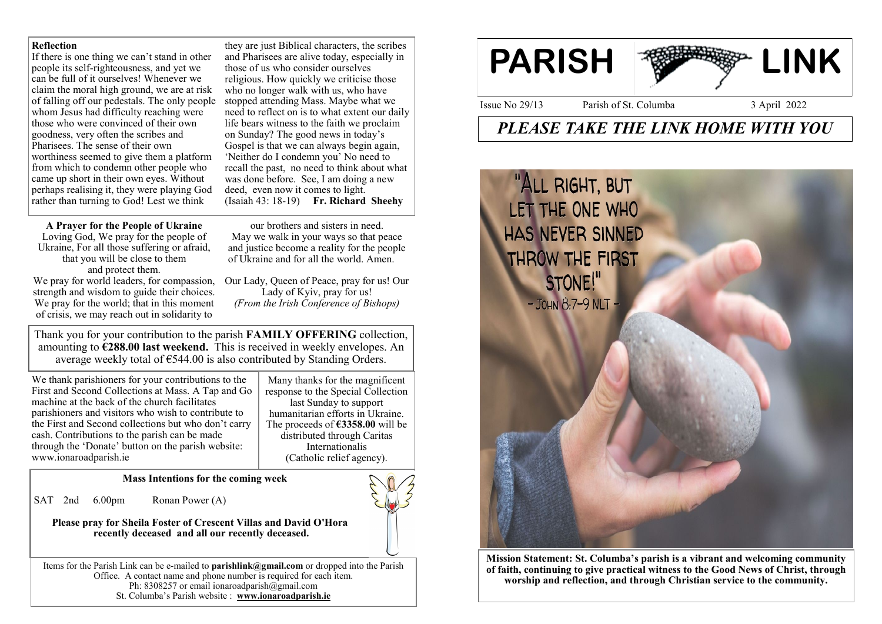### **Reflection**

If there is one thing we can't stand in other people its self-righteousness, and yet we can be full of it ourselves! Whenever we claim the moral high ground, we are at risk of falling off our pedestals. The only people whom Jesus had difficulty reaching were those who were convinced of their own goodness, very often the scribes and Pharisees. The sense of their own worthiness seemed to give them a platform from which to condemn other people who came up short in their own eyes. Without perhaps realising it, they were playing God rather than turning to God! Lest we think

they are just Biblical characters, the scribes and Pharisees are alive today, especially in those of us who consider ourselves religious. How quickly we criticise those who no longer walk with us, who have stopped attending Mass. Maybe what we need to reflect on is to what extent our daily life bears witness to the faith we proclaim on Sunday? The good news in today's Gospel is that we can always begin again, 'Neither do I condemn you' No need to recall the past, no need to think about what was done before. See, I am doing a new deed, even now it comes to light. (Isaiah 43: 18-19) **Fr. Richard Sheehy**

### **A Prayer for the People of Ukraine**

Loving God, We pray for the people of Ukraine, For all those suffering or afraid, that you will be close to them and protect them. We pray for world leaders, for compassion, strength and wisdom to guide their choices. We pray for the world; that in this moment of crisis, we may reach out in solidarity to

our brothers and sisters in need. May we walk in your ways so that peace and justice become a reality for the people of Ukraine and for all the world. Amen.

Our Lady, Queen of Peace, pray for us! Our Lady of Kyiv, pray for us! *(From the Irish Conference of Bishops)*

Thank you for your contribution to the parish **FAMILY OFFERING** collection, amounting to **€288.00 last weekend.** This is received in weekly envelopes. An average weekly total of  $\epsilon$ 544.00 is also contributed by Standing Orders.

We thank parishioners for your contributions to the First and Second Collections at Mass. A Tap and Go machine at the back of the church facilitates parishioners and visitors who wish to contribute to the First and Second collections but who don't carry cash. Contributions to the parish can be made through the 'Donate' button on the parish website: www.ionaroadparish.ie

Many thanks for the magnificent response to the Special Collection last Sunday to support humanitarian efforts in Ukraine. The proceeds of **€3358.00** will be distributed through Caritas Internationalis (Catholic relief agency).

**Mass Intentions for the coming week**

SAT 2nd 6.00pm Ronan Power (A)

**Please pray for Sheila Foster of Crescent Villas and David O'Hora recently deceased and all our recently deceased.**

Items for the Parish Link can be e-mailed to **parishlink@gmail.com** or dropped into the Parish Office. A contact name and phone number is required for each item. Ph: 8308257 or email ionaroadparish@gmail.com St. Columba's Parish website : **www.ionaroadparish.ie** 



# *PLEASE TAKE THE LINK HOME WITH YOU*



**Mission Statement: St. Columba's parish is a vibrant and welcoming community of faith, continuing to give practical witness to the Good News of Christ, through worship and reflection, and through Christian service to the community.**